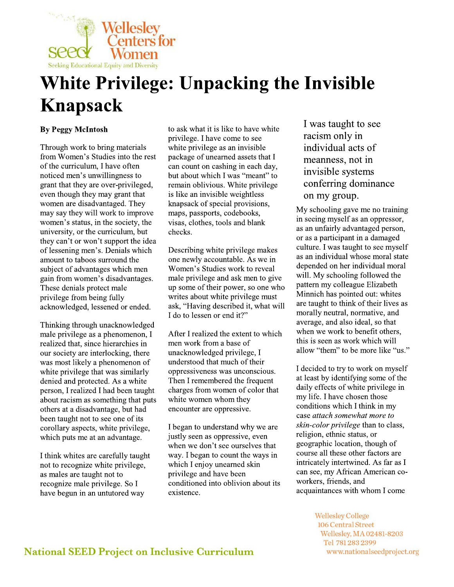

# **White Privilege: Unpacking the Invisible Knapsack**

#### **By Peggy McIntosh**

Through work to bring materials from Women's Studies into the rest of the curriculum, I have often noticed men's unwillingness to grant that they are over-privileged, even though they may grant that women are disadvantaged. They may say they will work to improve women's status, in the society, the university, or the curriculum, but they can't or won't support the idea of lessening men's. Denials which amount to taboos surround the subject of advantages which men gain from women's disadvantages. These denials protect male privilege from being fully acknowledged, lessened or ended.

Thinking through unacknowledged male privilege as a phenomenon, I realized that, since hierarchies in our society are interlocking, there was most likely a phenomenon of white privilege that was similarly denied and protected. As a white person, I realized I had been taught about racism as something that puts others at a disadvantage, but had been taught not to see one of its corollary aspects, white privilege, which puts me at an advantage.

I think whites are carefully taught not to recognize white privilege, as males are taught not to recognize male privilege. So I have begun in an untutored way

to ask what it is like to have white privilege. I have come to see white privilege as an invisible package of unearned assets that I can count on cashing in each day, but about which I was "meant" to remain oblivious. White privilege is like an invisible weightless knapsack of special provisions, maps, passports, codebooks, visas, clothes, tools and blank checks.

Describing white privilege makes one newly accountable. As we in Women's Studies work to reveal male privilege and ask men to give up some of their power, so one who writes about white privilege must ask, "Having described it, what will I do to lessen or end it?"

After I realized the extent to which men work from a base of unacknowledged privilege, I understood that much of their oppressiveness was unconscious. Then I remembered the frequent charges from women of color that white women whom they encounter are oppressive.

I began to understand why we are justly seen as oppressive, even when we don't see ourselves that way. I began to count the ways in which I enjoy unearned skin privilege and have been conditioned into oblivion about its existence.

I was taught to see racism only in individual acts of meanness, not in invisible systems conferring dominance on my group.

My schooling gave me no training in seeing myself as an oppressor, as an unfairly advantaged person, or as a participant in a damaged culture. I was taught to see myself as an individual whose moral state depended on her individual moral will. My schooling followed the pattern my colleague Elizabeth Minnich has pointed out: whites are taught to think of their lives as morally neutral, normative, and average, and also ideal, so that when we work to benefit others. this is seen as work which will allow "them" to be more like "us."

I decided to try to work on myself at least by identifying some of the daily effects of white privilege in my life. I have chosen those conditions which I think in my case attach somewhat more to skin-color privilege than to class, religion, ethnic status, or geographic location, though of course all these other factors are intricately intertwined. As far as I can see, my African American coworkers, friends, and acquaintances with whom I come

#### **Wellesley College** 106 Central Street Wellesley, MA 02481-8203 Tel 781 283 2399 www.nationalseedproject.org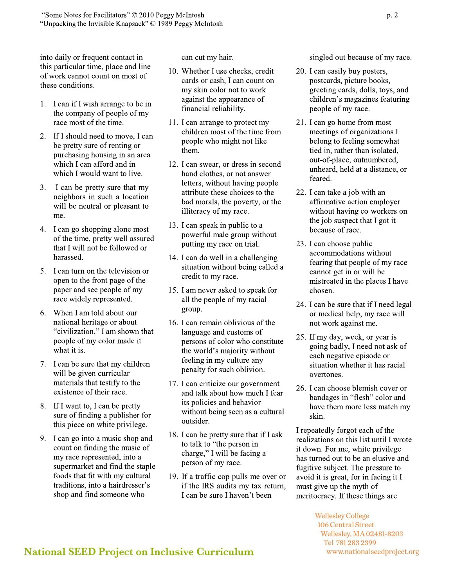into daily or frequent contact in this particular time, place and line of work cannot count on most of these conditions.

- 1. I can if I wish arrange to be in the company of people of my race most of the time.
- 2. If I should need to move, I can be pretty sure of renting or purchasing housing in an area which I can afford and in which I would want to live.
- I can be pretty sure that my 3. neighbors in such a location will be neutral or pleasant to me.
- 4. I can go shopping alone most of the time, pretty well assured that I will not be followed or harassed.
- 5. I can turn on the television or open to the front page of the paper and see people of my race widely represented.
- 6. When I am told about our national heritage or about "civilization," I am shown that people of my color made it what it is.
- 7. I can be sure that my children will be given curricular materials that testify to the existence of their race.
- 8. If I want to, I can be pretty sure of finding a publisher for this piece on white privilege.
- 9. I can go into a music shop and count on finding the music of my race represented, into a supermarket and find the staple foods that fit with my cultural traditions, into a hairdresser's shop and find someone who

can cut my hair.

- 10. Whether I use checks, credit cards or cash, I can count on my skin color not to work against the appearance of financial reliability.
- 11. I can arrange to protect my children most of the time from people who might not like them.
- 12. I can swear, or dress in secondhand clothes, or not answer letters, without having people attribute these choices to the bad morals, the poverty, or the illiteracy of my race.
- 13. I can speak in public to a powerful male group without putting my race on trial.
- 14. I can do well in a challenging situation without being called a credit to my race.
- 15. I am never asked to speak for all the people of my racial group.
- 16. I can remain oblivious of the language and customs of persons of color who constitute the world's majority without feeling in my culture any penalty for such oblivion.
- 17. I can criticize our government and talk about how much I fear its policies and behavior without being seen as a cultural outsider.
- 18. I can be pretty sure that if I ask to talk to "the person in charge," I will be facing a person of my race.
- 19. If a traffic cop pulls me over or if the IRS audits my tax return, I can be sure I haven't been

singled out because of my race.

- 20. I can easily buy posters, postcards, picture books, greeting cards, dolls, toys, and children's magazines featuring people of my race.
- 21. I can go home from most meetings of organizations I belong to feeling somewhat tied in, rather than isolated, out-of-place, outnumbered, unheard, held at a distance, or feared.
- 22. I can take a job with an affirmative action employer without having co-workers on the job suspect that I got it because of race.
- 23. I can choose public accommodations without fearing that people of my race cannot get in or will be mistreated in the places I have chosen.
- 24. I can be sure that if I need legal or medical help, my race will not work against me.
- 25. If my day, week, or year is going badly, I need not ask of each negative episode or situation whether it has racial overtones.
- 26. I can choose blemish cover or bandages in "flesh" color and have them more less match my skin.

I repeatedly forgot each of the realizations on this list until I wrote it down. For me, white privilege has turned out to be an elusive and fugitive subject. The pressure to avoid it is great, for in facing it I must give up the myth of meritocracy. If these things are

#### **Wellesley College** 106 Central Street Wellesley, MA 02481-8203 Tel 781 283 2399 www.nationalseedproject.org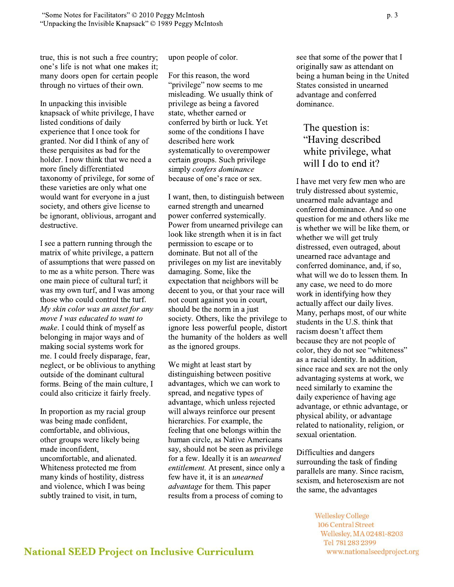true, this is not such a free country; one's life is not what one makes it: many doors open for certain people through no virtues of their own.

In unpacking this invisible. knapsack of white privilege, I have listed conditions of daily experience that I once took for granted. Nor did I think of any of these perquisites as bad for the holder. I now think that we need a more finely differentiated taxonomy of privilege, for some of these varieties are only what one would want for everyone in a just society, and others give license to be ignorant, oblivious, arrogant and destructive.

I see a pattern running through the matrix of white privilege, a pattern of assumptions that were passed on to me as a white person. There was one main piece of cultural turf; it was my own turf, and I was among those who could control the turf. My skin color was an asset for any move I was educated to want to make. I could think of myself as belonging in major ways and of making social systems work for me. I could freely disparage, fear, neglect, or be oblivious to anything outside of the dominant cultural forms. Being of the main culture, I could also criticize it fairly freely.

In proportion as my racial group was being made confident, comfortable, and oblivious, other groups were likely being made inconfident, uncomfortable, and alienated. Whiteness protected me from many kinds of hostility, distress and violence, which I was being subtly trained to visit, in turn,

upon people of color.

For this reason, the word "privilege" now seems to me misleading. We usually think of privilege as being a favored state, whether earned or conferred by birth or luck. Yet some of the conditions I have described here work systematically to overempower certain groups. Such privilege simply confers dominance because of one's race or sex.

I want, then, to distinguish between earned strength and unearned power conferred systemically. Power from unearned privilege can look like strength when it is in fact permission to escape or to dominate. But not all of the privileges on my list are inevitably damaging. Some, like the expectation that neighbors will be decent to you, or that your race will not count against you in court, should be the norm in a just society. Others, like the privilege to ignore less powerful people, distort the humanity of the holders as well as the ignored groups.

We might at least start by distinguishing between positive advantages, which we can work to spread, and negative types of advantage, which unless rejected will always reinforce our present hierarchies. For example, the feeling that one belongs within the human circle, as Native Americans say, should not be seen as privilege for a few. Ideally it is an *unearned* entitlement. At present, since only a few have it, it is an unearned *advantage* for them. This paper results from a process of coming to

see that some of the power that I originally saw as attendant on being a human being in the United States consisted in unearned advantage and conferred dominance.

## The question is: "Having described white privilege, what will I do to end it?

I have met very few men who are truly distressed about systemic, unearned male advantage and conferred dominance. And so one question for me and others like me is whether we will be like them, or whether we will get truly distressed, even outraged, about unearned race advantage and conferred dominance, and, if so, what will we do to lessen them. In any case, we need to do more work in identifying how they actually affect our daily lives. Many, perhaps most, of our white students in the U.S. think that racism doesn't affect them because they are not people of color, they do not see "whiteness" as a racial identity. In addition, since race and sex are not the only advantaging systems at work, we need similarly to examine the daily experience of having age advantage, or ethnic advantage, or physical ability, or advantage related to nationality, religion, or sexual orientation.

Difficulties and dangers surrounding the task of finding parallels are many. Since racism, sexism, and heterosexism are not the same, the advantages

#### **Wellesley College** 106 Central Street Wellesley, MA 02481-8203 Tel 781 283 2399 www.nationalseedproject.org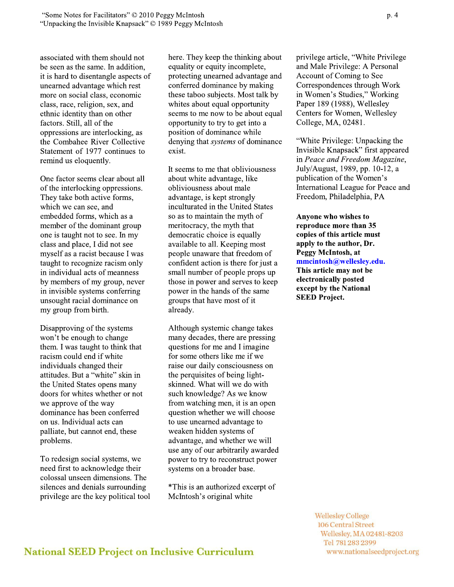associated with them should not be seen as the same. In addition, it is hard to disentangle aspects of unearned advantage which rest more on social class, economic class, race, religion, sex, and ethnic identity than on other factors. Still, all of the oppressions are interlocking, as the Combahee River Collective Statement of 1977 continues to remind us eloquently.

One factor seems clear about all of the interlocking oppressions. They take both active forms, which we can see, and embedded forms, which as a member of the dominant group one is taught not to see. In my class and place, I did not see myself as a racist because I was taught to recognize racism only in individual acts of meanness by members of my group, never in invisible systems conferring unsought racial dominance on my group from birth.

Disapproving of the systems won't be enough to change them. I was taught to think that racism could end if white individuals changed their attitudes. But a "white" skin in the United States opens many doors for whites whether or not we approve of the way dominance has been conferred on us. Individual acts can palliate, but cannot end, these problems.

To redesign social systems, we need first to acknowledge their colossal unseen dimensions. The silences and denials surrounding privilege are the key political tool here. They keep the thinking about equality or equity incomplete, protecting unearned advantage and conferred dominance by making these taboo subjects. Most talk by whites about equal opportunity seems to me now to be about equal opportunity to try to get into a position of dominance while denying that *systems* of dominance exist.

It seems to me that obliviousness about white advantage, like obliviousness about male advantage, is kept strongly inculturated in the United States so as to maintain the myth of meritocracy, the myth that democratic choice is equally available to all. Keeping most people unaware that freedom of confident action is there for just a small number of people props up those in power and serves to keep power in the hands of the same groups that have most of it already.

Although systemic change takes many decades, there are pressing questions for me and I imagine for some others like me if we raise our daily consciousness on the perquisites of being lightskinned. What will we do with such knowledge? As we know from watching men, it is an open question whether we will choose to use unearned advantage to weaken hidden systems of advantage, and whether we will use any of our arbitrarily awarded power to try to reconstruct power systems on a broader base.

\*This is an authorized excerpt of McIntosh's original white

privilege article, "White Privilege and Male Privilege: A Personal Account of Coming to See Correspondences through Work in Women's Studies," Working Paper 189 (1988), Wellesley Centers for Women, Wellesley College, MA, 02481.

"White Privilege: Unpacking the Invisible Knapsack" first appeared in Peace and Freedom Magazine, July/August, 1989, pp. 10-12, a publication of the Women's International League for Peace and Freedom, Philadelphia, PA

Anyone who wishes to reproduce more than 35 copies of this article must apply to the author, Dr. Peggy McIntosh, at mmcintosh@wellesley.edu. This article may not be electronically posted except by the National **SEED Project.** 

> **Wellesley College** 106 Central Street Wellesley, MA 02481-8203 Tel 781 283 2399 www.nationalseedproject.org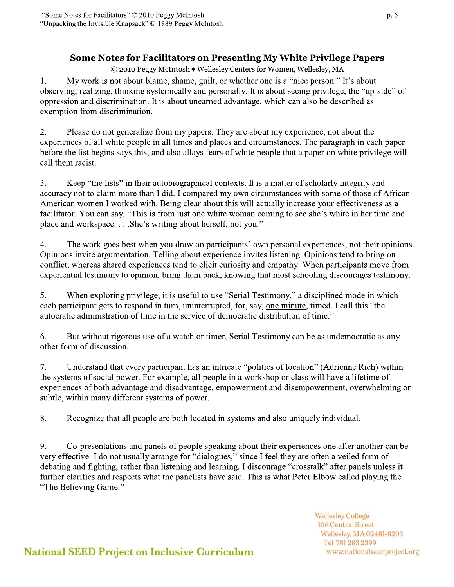### Some Notes for Facilitators on Presenting My White Privilege Papers

© 2010 Peggy McIntosh • Wellesley Centers for Women, Wellesley, MA

My work is not about blame, shame, guilt, or whether one is a "nice person." It's about 1. observing, realizing, thinking systemically and personally. It is about seeing privilege, the "up-side" of oppression and discrimination. It is about unearned advantage, which can also be described as exemption from discrimination.

 $2.$ Please do not generalize from my papers. They are about my experience, not about the experiences of all white people in all times and places and circumstances. The paragraph in each paper before the list begins says this, and also allays fears of white people that a paper on white privilege will call them racist.

3. Keep "the lists" in their autobiographical contexts. It is a matter of scholarly integrity and accuracy not to claim more than I did. I compared my own circumstances with some of those of African American women I worked with. Being clear about this will actually increase your effectiveness as a facilitator. You can say, "This is from just one white woman coming to see she's white in her time and place and workspace....She's writing about herself, not you."

 $4.$ The work goes best when you draw on participants' own personal experiences, not their opinions. Opinions invite argumentation. Telling about experience invites listening. Opinions tend to bring on conflict, whereas shared experiences tend to elicit curiosity and empathy. When participants move from experiential testimony to opinion, bring them back, knowing that most schooling discourages testimony.

When exploring privilege, it is useful to use "Serial Testimony," a disciplined mode in which 5. each participant gets to respond in turn, uninterrupted, for, say, one minute, timed. I call this "the autocratic administration of time in the service of democratic distribution of time."

6. But without rigorous use of a watch or timer, Serial Testimony can be as undemocratic as any other form of discussion.

Understand that every participant has an intricate "politics of location" (Adrienne Rich) within 7. the systems of social power. For example, all people in a workshop or class will have a lifetime of experiences of both advantage and disadvantage, empowerment and disempowerment, overwhelming or subtle, within many different systems of power.

8. Recognize that all people are both located in systems and also uniquely individual.

Co-presentations and panels of people speaking about their experiences one after another can be 9. very effective. I do not usually arrange for "dialogues," since I feel they are often a veiled form of debating and fighting, rather than listening and learning. I discourage "crosstalk" after panels unless it further clarifies and respects what the panelists have said. This is what Peter Elbow called playing the "The Believing Game."

> **Wellesley College** 106 Central Street Wellesley, MA 02481-8203 Tel 781 283 2399 www.nationalseedproject.org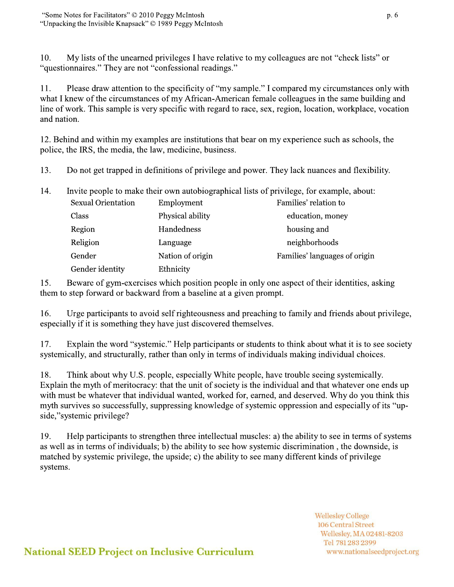My lists of the unearned privileges I have relative to my colleagues are not "check lists" or 10. "questionnaires." They are not "confessional readings."

Please draw attention to the specificity of "my sample." I compared my circumstances only with 11. what I knew of the circumstances of my African-American female colleagues in the same building and line of work. This sample is very specific with regard to race, sex, region, location, workplace, vocation and nation.

12. Behind and within my examples are institutions that bear on my experience such as schools, the police, the IRS, the media, the law, medicine, business.

- 13. Do not get trapped in definitions of privilege and power. They lack nuances and flexibility.
- 14. Invite people to make their own autobiographical lists of privilege, for example, about: **Sexual Orientation** Employment Families' relation to Class Physical ability education, money Region Handedness housing and Religion neighborhoods Language Gender Nation of origin Families' languages of origin Gender identity Ethnicity

Beware of gym-exercises which position people in only one aspect of their identities, asking 15. them to step forward or backward from a baseline at a given prompt.

16. Urge participants to avoid self righteousness and preaching to family and friends about privilege, especially if it is something they have just discovered themselves.

17. Explain the word "systemic." Help participants or students to think about what it is to see society systemically, and structurally, rather than only in terms of individuals making individual choices.

18. Think about why U.S. people, especially White people, have trouble seeing systemically. Explain the myth of meritocracy: that the unit of society is the individual and that whatever one ends up with must be whatever that individual wanted, worked for, earned, and deserved. Why do you think this myth survives so successfully, suppressing knowledge of systemic oppression and especially of its "upside,"systemic privilege?

Help participants to strengthen three intellectual muscles: a) the ability to see in terms of systems 19. as well as in terms of individuals; b) the ability to see how systemic discrimination, the downside, is matched by systemic privilege, the upside; c) the ability to see many different kinds of privilege systems.